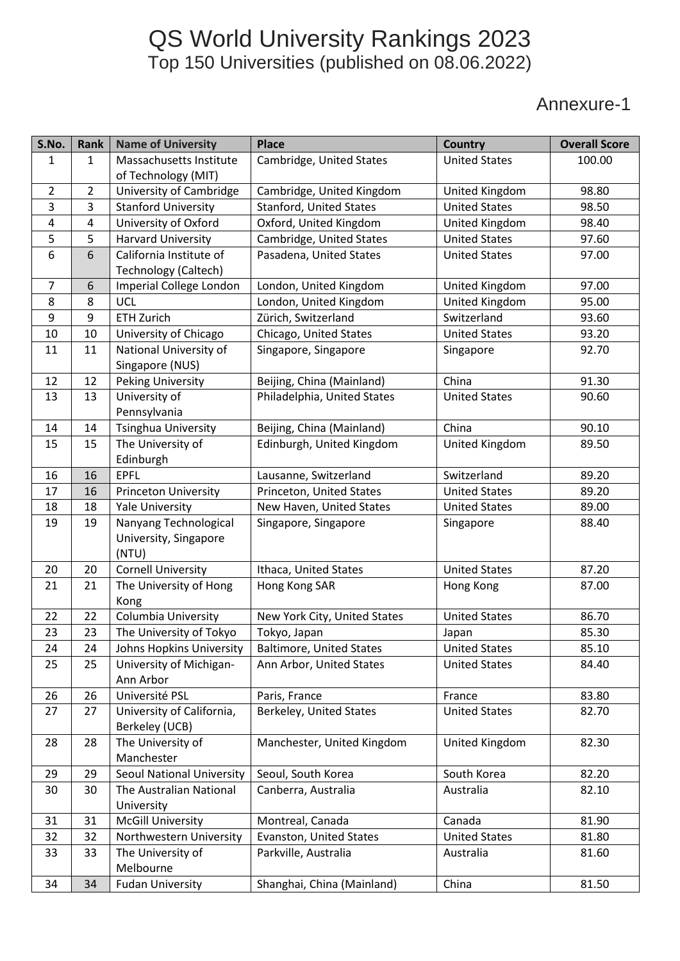## QS World University Rankings 2023 Top 150 Universities (published on 08.06.2022)

## Annexure-1

| S.No.          | <b>Rank</b>    | <b>Name of University</b>          | <b>Place</b>                    | <b>Country</b>       | <b>Overall Score</b> |
|----------------|----------------|------------------------------------|---------------------------------|----------------------|----------------------|
| 1              | 1              | Massachusetts Institute            | Cambridge, United States        | <b>United States</b> | 100.00               |
|                |                | of Technology (MIT)                |                                 |                      |                      |
| $\overline{2}$ | $\overline{2}$ | University of Cambridge            | Cambridge, United Kingdom       | United Kingdom       | 98.80                |
| 3              | 3              | <b>Stanford University</b>         | <b>Stanford, United States</b>  | <b>United States</b> | 98.50                |
| 4              | 4              | University of Oxford               | Oxford, United Kingdom          | United Kingdom       | 98.40                |
| 5              | 5              | <b>Harvard University</b>          | Cambridge, United States        | <b>United States</b> | 97.60                |
| 6              | 6              | California Institute of            | Pasadena, United States         | <b>United States</b> | 97.00                |
|                |                | <b>Technology (Caltech)</b>        |                                 |                      |                      |
| $\overline{7}$ | 6              | Imperial College London            | London, United Kingdom          | United Kingdom       | 97.00                |
| 8              | 8              | <b>UCL</b>                         | London, United Kingdom          | United Kingdom       | 95.00                |
| 9              | 9              | <b>ETH Zurich</b>                  | Zürich, Switzerland             | Switzerland          | 93.60                |
| 10             | 10             | University of Chicago              | Chicago, United States          | <b>United States</b> | 93.20                |
| 11             | 11             | National University of             | Singapore, Singapore            | Singapore            | 92.70                |
|                |                | Singapore (NUS)                    |                                 |                      |                      |
| 12             | 12             | <b>Peking University</b>           | Beijing, China (Mainland)       | China                | 91.30                |
| 13             | 13             | University of                      | Philadelphia, United States     | <b>United States</b> | 90.60                |
|                |                | Pennsylvania                       |                                 |                      |                      |
| 14             | 14             | <b>Tsinghua University</b>         | Beijing, China (Mainland)       | China                | 90.10                |
| 15             | 15             | The University of                  | Edinburgh, United Kingdom       | United Kingdom       | 89.50                |
|                |                | Edinburgh                          |                                 |                      |                      |
| 16             | 16             | <b>EPFL</b>                        | Lausanne, Switzerland           | Switzerland          | 89.20                |
| 17             | 16             | <b>Princeton University</b>        | Princeton, United States        | <b>United States</b> | 89.20                |
| 18             | 18             | <b>Yale University</b>             | New Haven, United States        | <b>United States</b> | 89.00                |
| 19             | 19             | Nanyang Technological              | Singapore, Singapore            | Singapore            | 88.40                |
|                |                | University, Singapore              |                                 |                      |                      |
| 20             | 20             | (NTU)<br><b>Cornell University</b> | Ithaca, United States           | <b>United States</b> | 87.20                |
| 21             | 21             | The University of Hong             | Hong Kong SAR                   | Hong Kong            | 87.00                |
|                |                | Kong                               |                                 |                      |                      |
| 22             | 22             | Columbia University                | New York City, United States    | <b>United States</b> | 86.70                |
| 23             | 23             | The University of Tokyo            | Tokyo, Japan                    | Japan                | 85.30                |
| 24             | 24             | Johns Hopkins University           | <b>Baltimore, United States</b> | <b>United States</b> | 85.10                |
| 25             | 25             | University of Michigan-            | Ann Arbor, United States        | <b>United States</b> | 84.40                |
|                |                | Ann Arbor                          |                                 |                      |                      |
| 26             | 26             | Université PSL                     | Paris, France                   | France               | 83.80                |
| 27             | 27             | University of California,          | Berkeley, United States         | <b>United States</b> | 82.70                |
|                |                | Berkeley (UCB)                     |                                 |                      |                      |
| 28             | 28             | The University of                  | Manchester, United Kingdom      | United Kingdom       | 82.30                |
|                |                | Manchester                         |                                 |                      |                      |
| 29             | 29             | <b>Seoul National University</b>   | Seoul, South Korea              | South Korea          | 82.20                |
| 30             | 30             | The Australian National            | Canberra, Australia             | Australia            | 82.10                |
|                |                | University                         |                                 |                      |                      |
| 31             | 31             | <b>McGill University</b>           | Montreal, Canada                | Canada               | 81.90                |
| 32             | 32             | Northwestern University            | Evanston, United States         | <b>United States</b> | 81.80                |
| 33             | 33             | The University of                  | Parkville, Australia            | Australia            | 81.60                |
|                |                | Melbourne                          |                                 |                      |                      |
| 34             | 34             | <b>Fudan University</b>            | Shanghai, China (Mainland)      | China                | 81.50                |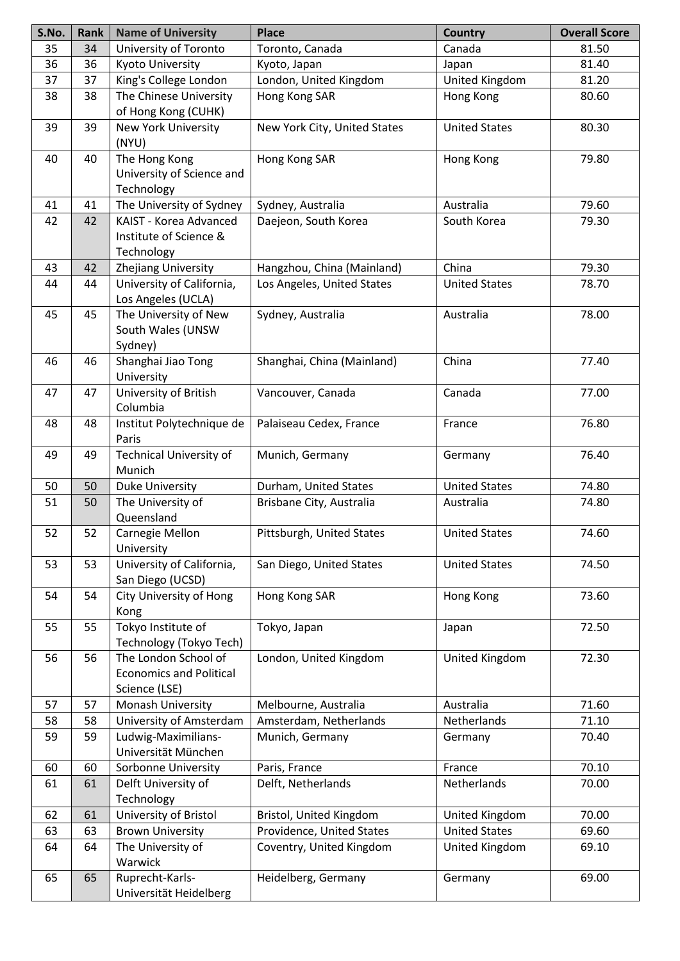| S.No. | Rank | <b>Name of University</b>      | <b>Place</b>                 | <b>Country</b>                         | <b>Overall Score</b> |
|-------|------|--------------------------------|------------------------------|----------------------------------------|----------------------|
| 35    | 34   | University of Toronto          | Toronto, Canada              | Canada                                 | 81.50                |
| 36    | 36   | Kyoto University               | Kyoto, Japan                 | Japan                                  | 81.40                |
| 37    | 37   | King's College London          | London, United Kingdom       | United Kingdom                         | 81.20                |
| 38    | 38   | The Chinese University         | Hong Kong SAR                | Hong Kong                              | 80.60                |
|       |      | of Hong Kong (CUHK)            |                              |                                        |                      |
| 39    | 39   | New York University            | New York City, United States | <b>United States</b>                   | 80.30                |
|       |      | (NYU)                          |                              |                                        |                      |
| 40    | 40   | The Hong Kong                  | Hong Kong SAR                | Hong Kong                              | 79.80                |
|       |      | University of Science and      |                              |                                        |                      |
|       |      | Technology                     |                              |                                        |                      |
| 41    | 41   | The University of Sydney       | Sydney, Australia            | Australia                              | 79.60                |
| 42    | 42   | KAIST - Korea Advanced         | Daejeon, South Korea         | South Korea                            | 79.30                |
|       |      | Institute of Science &         |                              |                                        |                      |
|       |      | Technology                     |                              |                                        |                      |
| 43    | 42   | Zhejiang University            | Hangzhou, China (Mainland)   | China                                  | 79.30                |
| 44    | 44   | University of California,      | Los Angeles, United States   | <b>United States</b>                   | 78.70                |
|       |      | Los Angeles (UCLA)             |                              |                                        |                      |
| 45    | 45   | The University of New          | Sydney, Australia            | Australia                              | 78.00                |
|       |      | South Wales (UNSW              |                              |                                        |                      |
|       |      | Sydney)                        |                              |                                        |                      |
| 46    | 46   | Shanghai Jiao Tong             | Shanghai, China (Mainland)   | China                                  | 77.40                |
|       |      | University                     |                              |                                        |                      |
| 47    | 47   | University of British          | Vancouver, Canada            | Canada                                 | 77.00                |
|       |      | Columbia                       |                              |                                        |                      |
| 48    | 48   | Institut Polytechnique de      | Palaiseau Cedex, France      | France                                 | 76.80                |
|       |      | Paris                          |                              |                                        |                      |
| 49    | 49   | <b>Technical University of</b> | Munich, Germany              | Germany                                | 76.40                |
|       |      | Munich                         |                              |                                        |                      |
| 50    | 50   | <b>Duke University</b>         | Durham, United States        | <b>United States</b>                   | 74.80                |
| 51    | 50   | The University of              | Brisbane City, Australia     | Australia                              | 74.80                |
|       |      | Queensland                     |                              |                                        |                      |
| 52    | 52   | Carnegie Mellon                | Pittsburgh, United States    | <b>United States</b>                   | 74.60                |
|       |      | University                     |                              |                                        |                      |
| 53    | 53   | University of California,      | San Diego, United States     | <b>United States</b>                   | 74.50                |
|       |      | San Diego (UCSD)               |                              |                                        |                      |
| 54    | 54   | City University of Hong        | Hong Kong SAR                | Hong Kong                              | 73.60                |
|       |      | Kong                           |                              |                                        |                      |
| 55    | 55   | Tokyo Institute of             | Tokyo, Japan                 | Japan                                  | 72.50                |
|       |      | Technology (Tokyo Tech)        |                              |                                        |                      |
| 56    | 56   | The London School of           | London, United Kingdom       | United Kingdom                         | 72.30                |
|       |      | <b>Economics and Political</b> |                              |                                        |                      |
|       |      | Science (LSE)                  |                              |                                        |                      |
| 57    | 57   | Monash University              | Melbourne, Australia         | Australia                              | 71.60                |
| 58    | 58   | University of Amsterdam        | Amsterdam, Netherlands       | Netherlands                            | 71.10                |
| 59    | 59   | Ludwig-Maximilians-            | Munich, Germany              | Germany                                | 70.40                |
|       |      | Universität München            |                              |                                        |                      |
| 60    | 60   | Sorbonne University            | Paris, France                | France                                 | 70.10                |
| 61    | 61   | Delft University of            | Delft, Netherlands           | Netherlands                            | 70.00                |
|       |      | Technology                     |                              |                                        |                      |
| 62    | 61   | University of Bristol          |                              |                                        | 70.00                |
|       | 63   |                                | Bristol, United Kingdom      | United Kingdom<br><b>United States</b> |                      |
| 63    |      | <b>Brown University</b>        | Providence, United States    |                                        | 69.60                |
| 64    | 64   | The University of              | Coventry, United Kingdom     | United Kingdom                         | 69.10                |
|       |      | Warwick                        |                              |                                        |                      |
| 65    | 65   | Ruprecht-Karls-                | Heidelberg, Germany          | Germany                                | 69.00                |
|       |      | Universität Heidelberg         |                              |                                        |                      |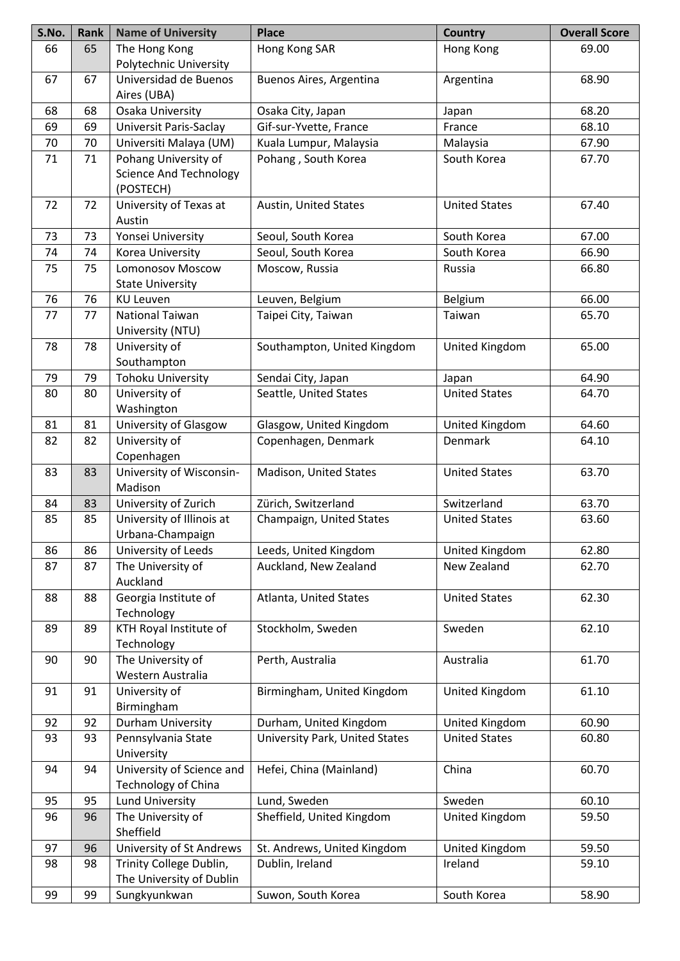| S.No. | <b>Rank</b> | <b>Name of University</b>                               | <b>Place</b>                   | <b>Country</b>       | <b>Overall Score</b> |
|-------|-------------|---------------------------------------------------------|--------------------------------|----------------------|----------------------|
| 66    | 65          | The Hong Kong<br>Polytechnic University                 | Hong Kong SAR                  | Hong Kong            | 69.00                |
| 67    | 67          | Universidad de Buenos<br>Aires (UBA)                    | Buenos Aires, Argentina        | Argentina            | 68.90                |
| 68    | 68          | Osaka University                                        | Osaka City, Japan              | Japan                | 68.20                |
| 69    | 69          | Universit Paris-Saclay                                  | Gif-sur-Yvette, France         | France               | 68.10                |
| 70    | 70          | Universiti Malaya (UM)                                  | Kuala Lumpur, Malaysia         | Malaysia             | 67.90                |
| 71    | 71          | Pohang University of                                    | Pohang, South Korea            | South Korea          | 67.70                |
|       |             | <b>Science And Technology</b><br>(POSTECH)              |                                |                      |                      |
| 72    | 72          | University of Texas at<br>Austin                        | Austin, United States          | <b>United States</b> | 67.40                |
| 73    | 73          | Yonsei University                                       | Seoul, South Korea             | South Korea          | 67.00                |
| 74    | 74          | Korea University                                        | Seoul, South Korea             | South Korea          | 66.90                |
| 75    | 75          | <b>Lomonosov Moscow</b><br><b>State University</b>      | Moscow, Russia                 | Russia               | 66.80                |
| 76    | 76          | <b>KU Leuven</b>                                        | Leuven, Belgium                | Belgium              | 66.00                |
| 77    | 77          | <b>National Taiwan</b><br>University (NTU)              | Taipei City, Taiwan            | Taiwan               | 65.70                |
| 78    | 78          | University of<br>Southampton                            | Southampton, United Kingdom    | United Kingdom       | 65.00                |
| 79    | 79          | <b>Tohoku University</b>                                | Sendai City, Japan             | Japan                | 64.90                |
| 80    | 80          | University of                                           | Seattle, United States         | <b>United States</b> | 64.70                |
|       |             | Washington                                              |                                |                      |                      |
| 81    | 81          | University of Glasgow                                   | Glasgow, United Kingdom        | United Kingdom       | 64.60                |
| 82    | 82          | University of<br>Copenhagen                             | Copenhagen, Denmark            | Denmark              | 64.10                |
| 83    | 83          | University of Wisconsin-<br>Madison                     | Madison, United States         | <b>United States</b> | 63.70                |
| 84    | 83          | University of Zurich                                    | Zürich, Switzerland            | Switzerland          | 63.70                |
| 85    | 85          | University of Illinois at<br>Urbana-Champaign           | Champaign, United States       | <b>United States</b> | 63.60                |
| 86    | 86          | University of Leeds                                     | Leeds, United Kingdom          | United Kingdom       | 62.80                |
| 87    | 87          | The University of<br>Auckland                           | Auckland, New Zealand          | New Zealand          | 62.70                |
| 88    | 88          | Georgia Institute of<br>Technology                      | Atlanta, United States         | <b>United States</b> | 62.30                |
| 89    | 89          | KTH Royal Institute of<br>Technology                    | Stockholm, Sweden              | Sweden               | 62.10                |
| 90    | 90          | The University of<br>Western Australia                  | Perth, Australia               | Australia            | 61.70                |
| 91    | 91          | University of<br>Birmingham                             | Birmingham, United Kingdom     | United Kingdom       | 61.10                |
| 92    | 92          | Durham University                                       | Durham, United Kingdom         | United Kingdom       | 60.90                |
| 93    | 93          | Pennsylvania State<br>University                        | University Park, United States | <b>United States</b> | 60.80                |
| 94    | 94          | University of Science and<br><b>Technology of China</b> | Hefei, China (Mainland)        | China                | 60.70                |
| 95    | 95          | <b>Lund University</b>                                  | Lund, Sweden                   | Sweden               | 60.10                |
| 96    | 96          | The University of<br>Sheffield                          | Sheffield, United Kingdom      | United Kingdom       | 59.50                |
| 97    | 96          | University of St Andrews                                | St. Andrews, United Kingdom    | United Kingdom       | 59.50                |
| 98    | 98          | Trinity College Dublin,<br>The University of Dublin     | Dublin, Ireland                | Ireland              | 59.10                |
| 99    | 99          | Sungkyunkwan                                            | Suwon, South Korea             | South Korea          | 58.90                |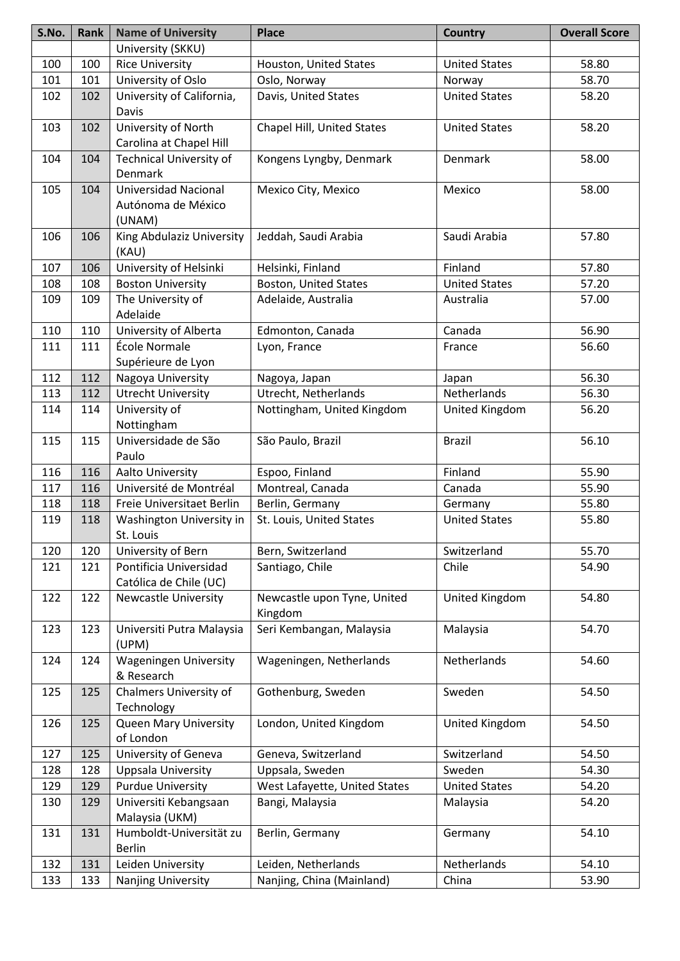| S.No. | Rank | <b>Name of University</b>    | <b>Place</b>                  | <b>Country</b>       | <b>Overall Score</b> |
|-------|------|------------------------------|-------------------------------|----------------------|----------------------|
|       |      | University (SKKU)            |                               |                      |                      |
| 100   | 100  | <b>Rice University</b>       | Houston, United States        | <b>United States</b> | 58.80                |
| 101   | 101  | University of Oslo           | Oslo, Norway                  | Norway               | 58.70                |
| 102   | 102  | University of California,    | Davis, United States          | <b>United States</b> | 58.20                |
|       |      | <b>Davis</b>                 |                               |                      |                      |
| 103   | 102  | University of North          | Chapel Hill, United States    | <b>United States</b> | 58.20                |
|       |      | Carolina at Chapel Hill      |                               |                      |                      |
| 104   | 104  | Technical University of      | Kongens Lyngby, Denmark       | <b>Denmark</b>       | 58.00                |
|       |      | <b>Denmark</b>               |                               |                      |                      |
| 105   | 104  | <b>Universidad Nacional</b>  | Mexico City, Mexico           | Mexico               | 58.00                |
|       |      | Autónoma de México           |                               |                      |                      |
|       |      | (UNAM)                       |                               |                      |                      |
| 106   | 106  | King Abdulaziz University    | Jeddah, Saudi Arabia          | Saudi Arabia         | 57.80                |
|       |      | (KAU)                        |                               |                      |                      |
| 107   | 106  | University of Helsinki       | Helsinki, Finland             | Finland              | 57.80                |
| 108   | 108  | <b>Boston University</b>     | <b>Boston, United States</b>  | <b>United States</b> | 57.20                |
| 109   | 109  | The University of            | Adelaide, Australia           | Australia            | 57.00                |
|       |      | Adelaide                     |                               |                      |                      |
| 110   | 110  | University of Alberta        | Edmonton, Canada              | Canada               | 56.90                |
| 111   | 111  | École Normale                | Lyon, France                  | France               | 56.60                |
|       |      | Supérieure de Lyon           |                               |                      |                      |
| 112   | 112  | Nagoya University            | Nagoya, Japan                 | Japan                | 56.30                |
| 113   | 112  | <b>Utrecht University</b>    | Utrecht, Netherlands          | Netherlands          | 56.30                |
| 114   | 114  | University of                | Nottingham, United Kingdom    | United Kingdom       | 56.20                |
|       |      | Nottingham                   |                               |                      |                      |
| 115   | 115  | Universidade de São          | São Paulo, Brazil             | <b>Brazil</b>        | 56.10                |
|       |      | Paulo                        |                               |                      |                      |
| 116   | 116  | Aalto University             | Espoo, Finland                | Finland              | 55.90                |
| 117   | 116  | Université de Montréal       | Montreal, Canada              | Canada               | 55.90                |
| 118   | 118  | Freie Universitaet Berlin    | Berlin, Germany               | Germany              | 55.80                |
| 119   | 118  | Washington University in     | St. Louis, United States      | <b>United States</b> | 55.80                |
|       |      | St. Louis                    |                               |                      |                      |
| 120   | 120  | University of Bern           | Bern, Switzerland             | Switzerland          | 55.70                |
| 121   | 121  | Pontificia Universidad       | Santiago, Chile               | Chile                | 54.90                |
|       |      | Católica de Chile (UC)       |                               |                      |                      |
| 122   | 122  | Newcastle University         | Newcastle upon Tyne, United   | United Kingdom       | 54.80                |
|       |      |                              | Kingdom                       |                      |                      |
| 123   | 123  | Universiti Putra Malaysia    | Seri Kembangan, Malaysia      | Malaysia             | 54.70                |
|       |      | (UPM)                        |                               |                      |                      |
| 124   | 124  | <b>Wageningen University</b> | Wageningen, Netherlands       | Netherlands          | 54.60                |
|       |      | & Research                   |                               |                      |                      |
| 125   | 125  | Chalmers University of       | Gothenburg, Sweden            | Sweden               | 54.50                |
|       |      | Technology                   |                               |                      |                      |
| 126   | 125  | <b>Queen Mary University</b> | London, United Kingdom        | United Kingdom       | 54.50                |
|       |      | of London                    |                               |                      |                      |
| 127   | 125  | University of Geneva         | Geneva, Switzerland           | Switzerland          | 54.50                |
| 128   | 128  | <b>Uppsala University</b>    | Uppsala, Sweden               | Sweden               | 54.30                |
| 129   | 129  | <b>Purdue University</b>     | West Lafayette, United States | <b>United States</b> | 54.20                |
| 130   | 129  | Universiti Kebangsaan        | Bangi, Malaysia               | Malaysia             | 54.20                |
|       |      | Malaysia (UKM)               |                               |                      |                      |
| 131   | 131  | Humboldt-Universität zu      | Berlin, Germany               | Germany              | 54.10                |
|       |      | <b>Berlin</b>                |                               |                      |                      |
| 132   | 131  | Leiden University            | Leiden, Netherlands           | Netherlands          | 54.10                |
| 133   | 133  | Nanjing University           | Nanjing, China (Mainland)     | China                | 53.90                |